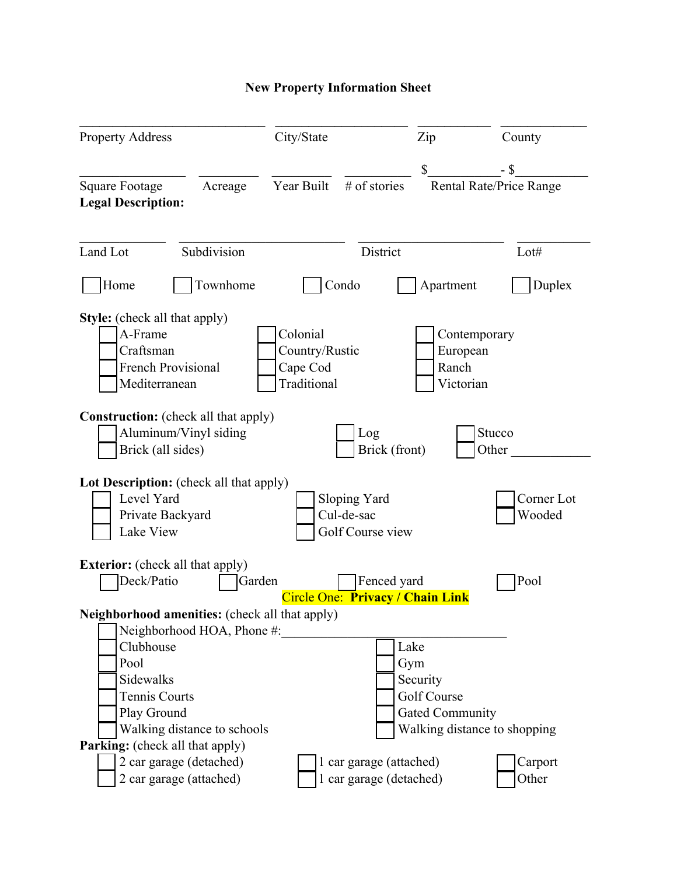## **New Property Information Sheet**

| <b>Property Address</b>                                                                                    | City/State                                            |                                                | Zip                            | County                       |
|------------------------------------------------------------------------------------------------------------|-------------------------------------------------------|------------------------------------------------|--------------------------------|------------------------------|
|                                                                                                            |                                                       |                                                | \$                             | $-$ \$                       |
| <b>Square Footage</b><br>Acreage<br><b>Legal Description:</b>                                              | Year Built                                            | # of stories                                   |                                | Rental Rate/Price Range      |
| Subdivision<br>Land Lot                                                                                    |                                                       | District                                       |                                | Lot#                         |
| Townhome<br>Home                                                                                           |                                                       | Condo                                          | Apartment                      | Duplex                       |
| <b>Style:</b> (check all that apply)<br>A-Frame<br>Craftsman<br><b>French Provisional</b><br>Mediterranean | Colonial<br>Country/Rustic<br>Cape Cod<br>Traditional |                                                | European<br>Ranch<br>Victorian | Contemporary                 |
| <b>Construction:</b> (check all that apply)<br>Aluminum/Vinyl siding<br>Brick (all sides)                  |                                                       | Log<br>Brick (front)                           |                                | Stucco<br>Other              |
| Lot Description: (check all that apply)<br>Level Yard<br>Private Backyard<br>Lake View                     |                                                       | Sloping Yard<br>Cul-de-sac<br>Golf Course view |                                | Corner Lot<br>Wooded         |
| <b>Exterior:</b> (check all that apply)                                                                    |                                                       |                                                |                                |                              |
| Deck/Patio                                                                                                 | Garden                                                | Fenced yard                                    |                                | Pool                         |
| Neighborhood amenities: (check all that apply)<br>Neighborhood HOA, Phone #:                               |                                                       | Circle One: Privacy / Chain Link               |                                |                              |
| Clubhouse                                                                                                  |                                                       | Lake                                           |                                |                              |
| Pool                                                                                                       |                                                       | Gym                                            |                                |                              |
| Sidewalks                                                                                                  |                                                       |                                                | Security                       |                              |
| <b>Tennis Courts</b>                                                                                       |                                                       |                                                | Golf Course                    |                              |
| Play Ground<br>Walking distance to schools                                                                 |                                                       |                                                | <b>Gated Community</b>         | Walking distance to shopping |
| <b>Parking:</b> (check all that apply)                                                                     |                                                       |                                                |                                |                              |
| 2 car garage (detached)                                                                                    |                                                       | 1 car garage (attached)                        |                                | Carport                      |
| 2 car garage (attached)                                                                                    |                                                       | 1 car garage (detached)                        |                                | Other                        |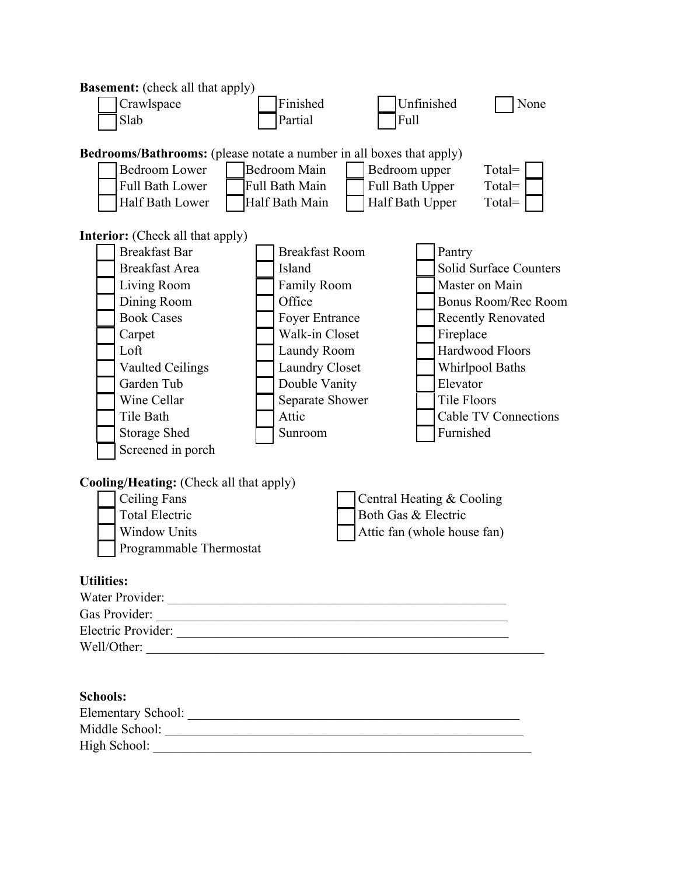| <b>Basement:</b> (check all that apply)                                                                                                                                                                                                                   |                                                                                                                                                                                                            |                                                                                 |                                                                    |                                                                                                                                                                                 |
|-----------------------------------------------------------------------------------------------------------------------------------------------------------------------------------------------------------------------------------------------------------|------------------------------------------------------------------------------------------------------------------------------------------------------------------------------------------------------------|---------------------------------------------------------------------------------|--------------------------------------------------------------------|---------------------------------------------------------------------------------------------------------------------------------------------------------------------------------|
| Crawlspace                                                                                                                                                                                                                                                | Finished                                                                                                                                                                                                   |                                                                                 | Unfinished                                                         | None                                                                                                                                                                            |
| Slab                                                                                                                                                                                                                                                      | Partial                                                                                                                                                                                                    | Full                                                                            |                                                                    |                                                                                                                                                                                 |
|                                                                                                                                                                                                                                                           |                                                                                                                                                                                                            |                                                                                 |                                                                    |                                                                                                                                                                                 |
| Bedrooms/Bathrooms: (please notate a number in all boxes that apply)                                                                                                                                                                                      |                                                                                                                                                                                                            |                                                                                 |                                                                    |                                                                                                                                                                                 |
| <b>Bedroom Lower</b>                                                                                                                                                                                                                                      | Bedroom Main                                                                                                                                                                                               | Bedroom upper                                                                   |                                                                    | $Total =$                                                                                                                                                                       |
| <b>Full Bath Lower</b>                                                                                                                                                                                                                                    | Full Bath Main                                                                                                                                                                                             | Full Bath Upper                                                                 |                                                                    | $Total =$                                                                                                                                                                       |
| Half Bath Lower                                                                                                                                                                                                                                           | Half Bath Main                                                                                                                                                                                             | Half Bath Upper                                                                 |                                                                    | $Total =$                                                                                                                                                                       |
| <b>Interior:</b> (Check all that apply)<br><b>Breakfast Bar</b><br><b>Breakfast Area</b><br>Living Room<br>Dining Room<br><b>Book Cases</b><br>Carpet<br>Loft<br><b>Vaulted Ceilings</b><br>Garden Tub<br>Wine Cellar<br>Tile Bath<br><b>Storage Shed</b> | <b>Breakfast Room</b><br>Island<br><b>Family Room</b><br>Office<br><b>Foyer Entrance</b><br>Walk-in Closet<br>Laundy Room<br><b>Laundry Closet</b><br>Double Vanity<br>Separate Shower<br>Attic<br>Sunroom |                                                                                 | Pantry<br>Fireplace<br>Elevator<br><b>Tile Floors</b><br>Furnished | <b>Solid Surface Counters</b><br>Master on Main<br>Bonus Room/Rec Room<br><b>Recently Renovated</b><br>Hardwood Floors<br><b>Whirlpool Baths</b><br><b>Cable TV Connections</b> |
| Screened in porch                                                                                                                                                                                                                                         |                                                                                                                                                                                                            |                                                                                 |                                                                    |                                                                                                                                                                                 |
| <b>Cooling/Heating:</b> (Check all that apply)<br>Ceiling Fans<br><b>Total Electric</b><br><b>Window Units</b><br>Programmable Thermostat                                                                                                                 |                                                                                                                                                                                                            | Central Heating & Cooling<br>Both Gas & Electric<br>Attic fan (whole house fan) |                                                                    |                                                                                                                                                                                 |
| <b>Utilities:</b>                                                                                                                                                                                                                                         |                                                                                                                                                                                                            |                                                                                 |                                                                    |                                                                                                                                                                                 |
| Water Provider:                                                                                                                                                                                                                                           |                                                                                                                                                                                                            |                                                                                 |                                                                    |                                                                                                                                                                                 |
| Gas Provider:                                                                                                                                                                                                                                             | <u> 1980 - Antonio Alemania, prima postala de la provincia de la provincia de la provincia de la provincia de la</u>                                                                                       |                                                                                 |                                                                    |                                                                                                                                                                                 |
| Electric Provider:                                                                                                                                                                                                                                        |                                                                                                                                                                                                            |                                                                                 |                                                                    |                                                                                                                                                                                 |
| Well/Other:                                                                                                                                                                                                                                               |                                                                                                                                                                                                            |                                                                                 |                                                                    |                                                                                                                                                                                 |
|                                                                                                                                                                                                                                                           |                                                                                                                                                                                                            |                                                                                 |                                                                    |                                                                                                                                                                                 |
| <b>Schools:</b>                                                                                                                                                                                                                                           |                                                                                                                                                                                                            |                                                                                 |                                                                    |                                                                                                                                                                                 |
|                                                                                                                                                                                                                                                           |                                                                                                                                                                                                            |                                                                                 |                                                                    |                                                                                                                                                                                 |
|                                                                                                                                                                                                                                                           |                                                                                                                                                                                                            |                                                                                 |                                                                    |                                                                                                                                                                                 |
| High School:                                                                                                                                                                                                                                              | <u> 1980 - Johann Stoff, fransk politik (f. 1980)</u>                                                                                                                                                      |                                                                                 |                                                                    |                                                                                                                                                                                 |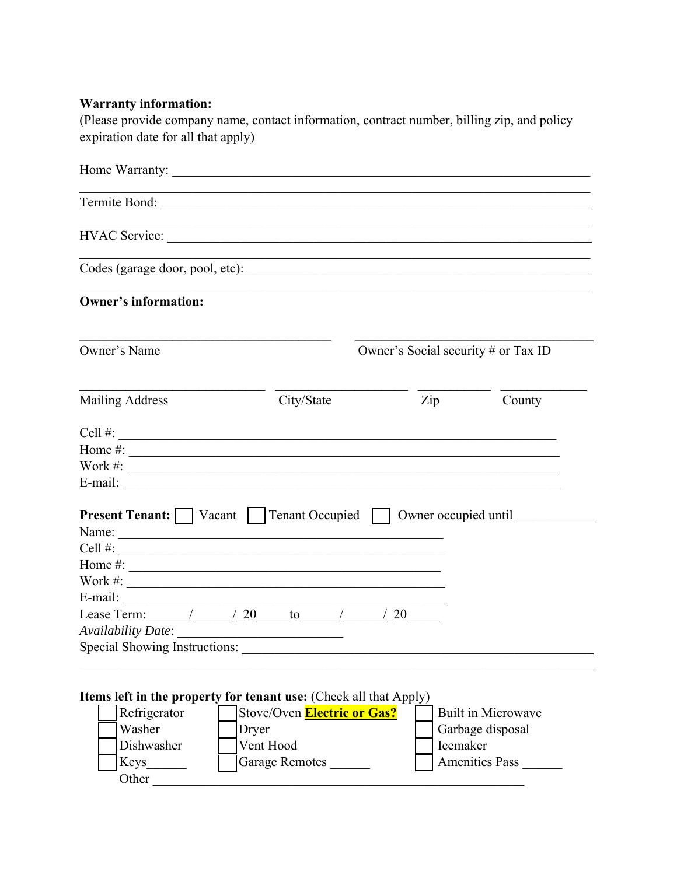## **Warranty information:**

(Please provide company name, contact information, contract number, billing zip, and policy expiration date for all that apply)

| Termite Bond:                                                                                                   |                                                                                  |                                     |                           |
|-----------------------------------------------------------------------------------------------------------------|----------------------------------------------------------------------------------|-------------------------------------|---------------------------|
| HVAC Service:                                                                                                   | ,我们也不能在这里的时候,我们也不能在这里的时候,我们也不能在这里的时候,我们也不能会不能在这里的时候,我们也不能会不能会不能会不能会不能会不能会不能会不能会不 |                                     |                           |
|                                                                                                                 |                                                                                  |                                     |                           |
| <b>Owner's information:</b>                                                                                     |                                                                                  |                                     |                           |
| Owner's Name                                                                                                    |                                                                                  | Owner's Social security # or Tax ID |                           |
| <b>Mailing Address</b>                                                                                          | City/State                                                                       | Zip                                 | County                    |
| Cell $\#$ :                                                                                                     |                                                                                  |                                     |                           |
|                                                                                                                 |                                                                                  |                                     |                           |
| Work $\#$ :                                                                                                     |                                                                                  |                                     |                           |
| E-mail: $\qquad \qquad$                                                                                         |                                                                                  |                                     |                           |
| <b>Present Tenant:</b>   Vacant   Tenant Occupied   Owner occupied until<br>Name:<br>Cell $\#$ :<br>Home $\#$ : |                                                                                  |                                     |                           |
| Work $\#$ :                                                                                                     |                                                                                  |                                     |                           |
| E-mail: $\qquad \qquad$                                                                                         |                                                                                  |                                     |                           |
| Lease Term: $\frac{1}{20}$ $\frac{1}{20}$ $\frac{1}{20}$ $\frac{1}{20}$                                         |                                                                                  |                                     |                           |
| <b>Availability Date:</b>                                                                                       |                                                                                  |                                     |                           |
| Special Showing Instructions:                                                                                   |                                                                                  |                                     |                           |
|                                                                                                                 |                                                                                  |                                     |                           |
|                                                                                                                 |                                                                                  |                                     |                           |
| <b>Items left in the property for tenant use:</b> (Check all that Apply)                                        |                                                                                  |                                     |                           |
| Refrigerator                                                                                                    | Stove/Oven Electric or Gas?                                                      |                                     | <b>Built in Microwave</b> |
| Washer                                                                                                          | Dryer                                                                            |                                     | Garbage disposal          |
| Dishwasher                                                                                                      | Vent Hood                                                                        | Icemaker                            |                           |
| Keys                                                                                                            | Garage Remotes                                                                   |                                     | Amenities Pass            |
| Other                                                                                                           |                                                                                  |                                     |                           |